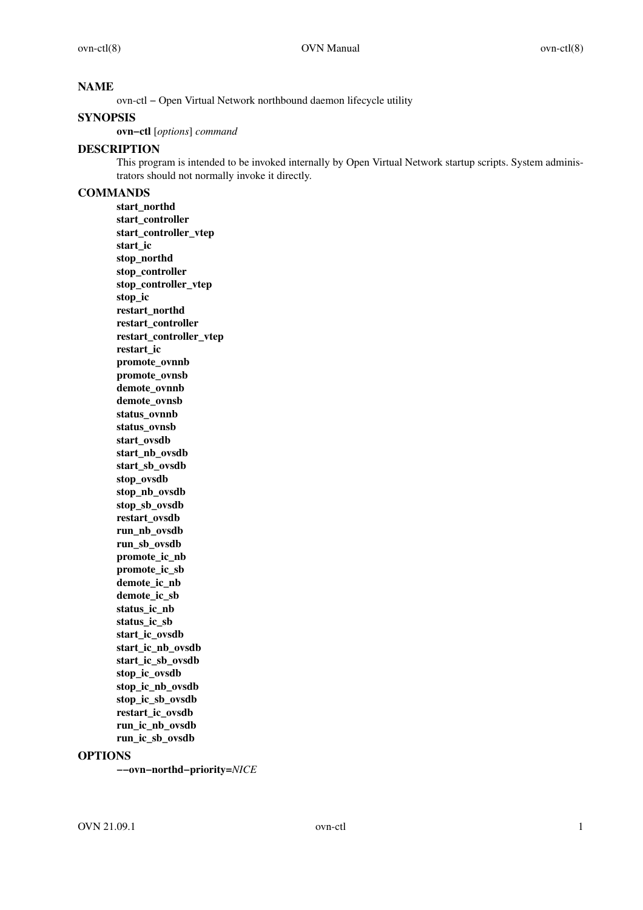# **NAME**

ovn-ctl − Open Virtual Network northbound daemon lifecycle utility

# **SYNOPSIS**

**ovn−ctl** [*options*] *command*

# **DESCRIPTION**

This program is intended to be invoked internally by Open Virtual Network startup scripts. System administrators should not normally invoke it directly.

# **COMMANDS**

**start\_northd start\_controller start\_controller\_vtep start\_ic stop\_northd stop\_controller stop\_controller\_vtep stop\_ic restart\_northd restart\_controller restart\_controller\_vtep restart\_ic promote\_ovnnb promote\_ovnsb demote\_ovnnb demote\_ovnsb status\_ovnnb status\_ovnsb start\_ovsdb start\_nb\_ovsdb start\_sb\_ovsdb stop\_ovsdb stop\_nb\_ovsdb stop\_sb\_ovsdb restart\_ovsdb run\_nb\_ovsdb run\_sb\_ovsdb promote\_ic\_nb promote\_ic\_sb** demote ic nb **demote\_ic\_sb status\_ic\_nb status\_ic\_sb** start\_ic\_ovsdb **start\_ic\_nb\_ovsdb** start ic sb ovsdb **stop\_ic\_ovsdb stop\_ic\_nb\_ovsdb stop\_ic\_sb\_ovsdb restart\_ic\_ovsdb run\_ic\_nb\_ovsdb run\_ic\_sb\_ovsdb**

# **OPTIONS**

**−−ovn−northd−priority=***NICE*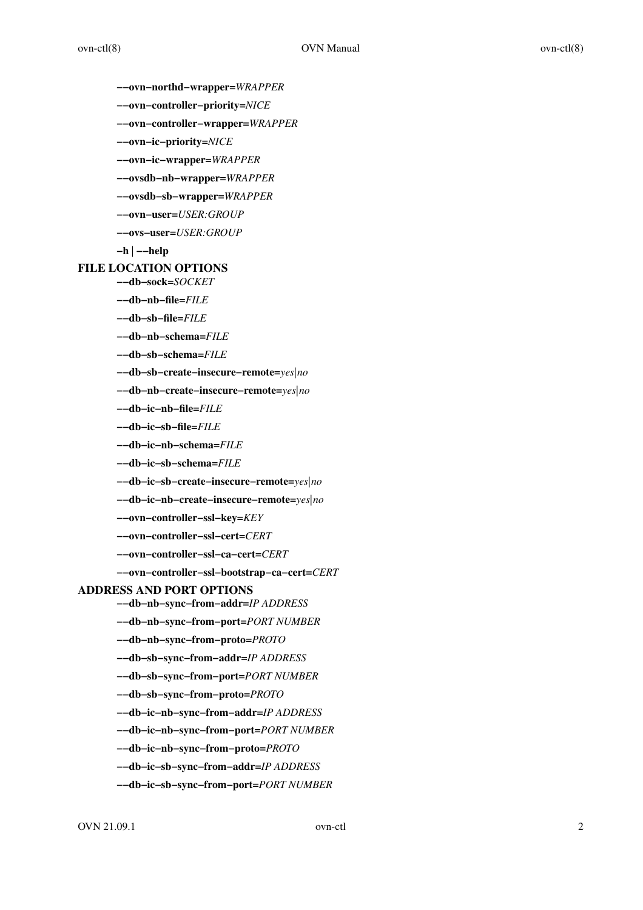- **−−ovn−northd−wrapper=***WRAPPER*
- **−−ovn−controller−priority=***NICE*
- **−−ovn−controller−wrapper=***WRAPPER*
- **−−ovn−ic−priority=***NICE*
- **−−ovn−ic−wrapper=***WRAPPER*
- **−−ovsdb−nb−wrapper=***WRAPPER*
- **−−ovsdb−sb−wrapper=***WRAPPER*
- **−−ovn−user=***USER:GROUP*
- **−−ovs−user=***USER:GROUP*
- **−h** | **−−help**

# **FILE LOCATION OPTIONS**

**−−db−sock=***SOCKET*

- **−−db−nb−file=***FILE*
- **−−db−sb−file=***FILE*
- **−−db−nb−schema=***FILE*
- **−−db−sb−schema=***FILE*
- **−−db−sb−create−insecure−remote=***yes|no*
- **−−db−nb−create−insecure−remote=***yes|no*
- **−−db−ic−nb−file=***FILE*
- **−−db−ic−sb−file=***FILE*
- **−−db−ic−nb−schema=***FILE*
- **−−db−ic−sb−schema=***FILE*
- **−−db−ic−sb−create−insecure−remote=***yes|no*
- **−−db−ic−nb−create−insecure−remote=***yes|no*
- **−−ovn−controller−ssl−key=***KEY*
- **−−ovn−controller−ssl−cert=***CERT*
- **−−ovn−controller−ssl−ca−cert=***CERT*

# **−−ovn−controller−ssl−bootstrap−ca−cert=***CERT*

# **ADDRESS AND PORT OPTIONS**

- **−−db−nb−sync−from−addr=***IP ADDRESS*
- **−−db−nb−sync−from−port=***PORT NUMBER*
- **−−db−nb−sync−from−proto=***PROT O*
- **−−db−sb−sync−from−addr=***IP ADDRESS*
- **−−db−sb−sync−from−port=***PORT NUMBER*
- **−−db−sb−sync−from−proto=***PROT O*
- **−−db−ic−nb−sync−from−addr=***IP ADDRESS*
- **−−db−ic−nb−sync−from−port=***PORT NUMBER*
- **−−db−ic−nb−sync−from−proto=***PROT O*
- **−−db−ic−sb−sync−from−addr=***IP ADDRESS*
- **−−db−ic−sb−sync−from−port=***PORT NUMBER*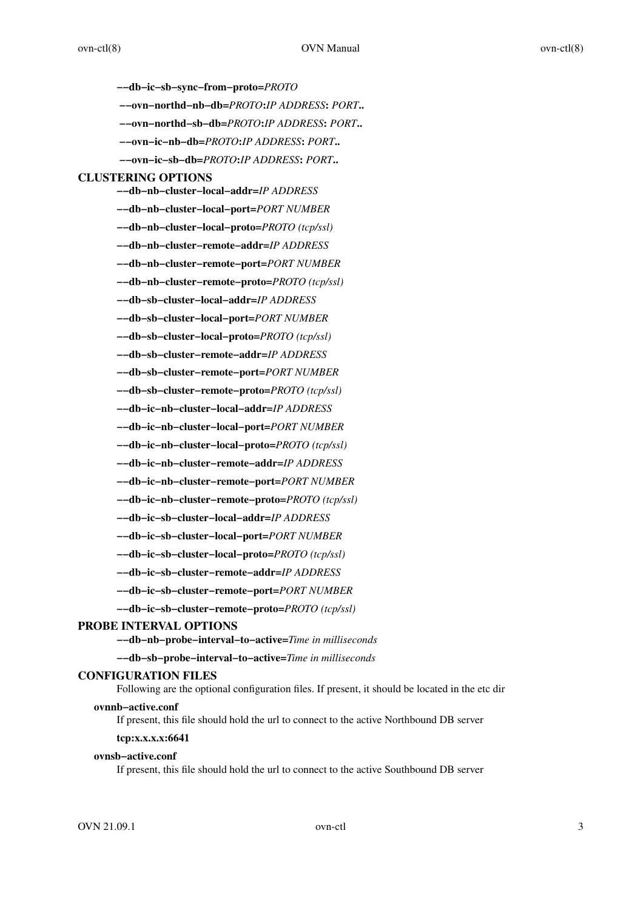**−−db−ic−sb−sync−from−proto=***PROT O* **−−ovn−northd−nb−db=***PROT O***:***IP ADDRESS***:** *PORT***.. −−ovn−northd−sb−db=***PROT O***:***IP ADDRESS***:** *PORT***.. −−ovn−ic−nb−db=***PROT O***:***IP ADDRESS***:** *PORT***.. −−ovn−ic−sb−db=***PROT O***:***IP ADDRESS***:** *PORT***.. CLUSTERING OPTIONS −−db−nb−cluster−local−addr=***IP ADDRESS* **−−db−nb−cluster−local−port=***PORT NUMBER* **−−db−nb−cluster−local−proto=***PROT O (tcp/ssl)* **−−db−nb−cluster−remote−addr=***IP ADDRESS* **−−db−nb−cluster−remote−port=***PORT NUMBER* **−−db−nb−cluster−remote−proto=***PROT O (tcp/ssl)* **−−db−sb−cluster−local−addr=***IP ADDRESS* **−−db−sb−cluster−local−port=***PORT NUMBER* **−−db−sb−cluster−local−proto=***PROT O (tcp/ssl)* **−−db−sb−cluster−remote−addr=***IP ADDRESS* **−−db−sb−cluster−remote−port=***PORT NUMBER* **−−db−sb−cluster−remote−proto=***PROT O (tcp/ssl)* **−−db−ic−nb−cluster−local−addr=***IP ADDRESS* **−−db−ic−nb−cluster−local−port=***PORT NUMBER* **−−db−ic−nb−cluster−local−proto=***PROT O (tcp/ssl)* **−−db−ic−nb−cluster−remote−addr=***IP ADDRESS* **−−db−ic−nb−cluster−remote−port=***PORT NUMBER* **−−db−ic−nb−cluster−remote−proto=***PROT O (tcp/ssl)* **−−db−ic−sb−cluster−local−addr=***IP ADDRESS* **−−db−ic−sb−cluster−local−port=***PORT NUMBER* **−−db−ic−sb−cluster−local−proto=***PROT O (tcp/ssl)* **−−db−ic−sb−cluster−remote−addr=***IP ADDRESS*

**−−db−ic−sb−cluster−remote−port=***PORT NUMBER*

**−−db−ic−sb−cluster−remote−proto=***PROT O (tcp/ssl)*

## **PROBE INTERVAL OPTIONS**

**−−db−nb−probe−interval−to−active=***Time in milliseconds*

**−−db−sb−probe−interval−to−active=***Time in milliseconds*

## **CONFIGURATION FILES**

Following are the optional configuration files. If present, it should be located in the etc dir

#### **ovnnb−active.conf**

If present, this file should hold the url to connect to the active Northbound DB server

# **tcp:x.x.x.x:6641**

# **ovnsb−active.conf**

If present, this file should hold the url to connect to the active Southbound DB server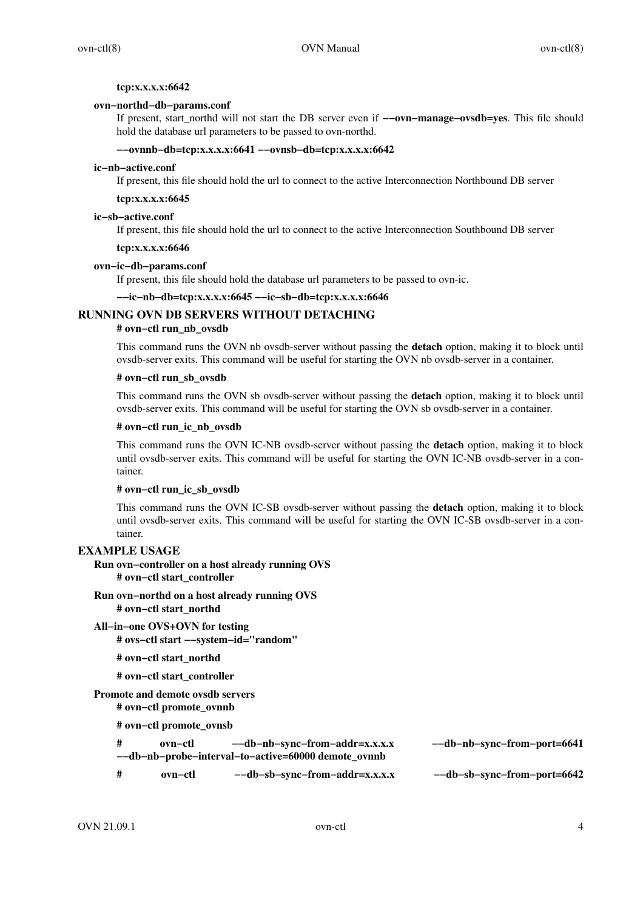#### **tcp:x.x.x.x:6642**

# **ovn−northd−db−params.conf**

If present, start\_northd will not start the DB server even if **−−ovn−manage−ovsdb=yes**. This file should hold the database url parameters to be passed to ovn-northd.

# **−−ovnnb−db=tcp:x.x.x.x:6641 −−ovnsb−db=tcp:x.x.x.x:6642**

#### **ic−nb−active.conf**

If present, this file should hold the url to connect to the active Interconnection Northbound DB server

# **tcp:x.x.x.x:6645**

#### **ic−sb−active.conf**

If present, this file should hold the url to connect to the active Interconnection Southbound DB server

#### **tcp:x.x.x.x:6646**

#### **ovn−ic−db−params.conf**

If present, this file should hold the database url parameters to be passed to ovn-ic.

## **−−ic−nb−db=tcp:x.x.x.x:6645 −−ic−sb−db=tcp:x.x.x.x:6646**

# **RUNNING OVN DB SERVERS WITHOUT DETACHING**

# **# ovn−ctl run\_nb\_ovsdb**

This command runs the OVN nb ovsdb-server without passing the **detach** option, making it to block until ovsdb-server exits. This command will be useful for starting the OVN nb ovsdb-server in a container.

#### **# ovn−ctl run\_sb\_ovsdb**

This command runs the OVN sb ovsdb-server without passing the **detach** option, making it to block until ovsdb-server exits. This command will be useful for starting the OVN sb ovsdb-server in a container.

#### **# ovn−ctl run\_ic\_nb\_ovsdb**

This command runs the OVN IC-NB ovsdb-server without passing the **detach** option, making it to block until ovsdb-server exits. This command will be useful for starting the OVN IC-NB ovsdb-server in a container.

# **# ovn−ctl run\_ic\_sb\_ovsdb**

This command runs the OVN IC-SB ovsdb-server without passing the **detach** option, making it to block until ovsdb-server exits. This command will be useful for starting the OVN IC-SB ovsdb-server in a container.

# **EXAMPLE USAGE**

# **Run ovn−controller on a host already running OVS # ovn−ctl start\_controller**

**Run ovn−northd on a host already running OVS # ovn−ctl start\_northd**

- **All−in−one OVS+OVN for testing # ovs−ctl start −−system−id="random"**
	- **# ovn−ctl start\_northd**

## **# ovn−ctl start\_controller**

# **Promote and demote ovsdb servers**

**# ovn−ctl promote\_ovnnb**

**# ovn−ctl promote\_ovnsb**

| #                                                   | ovn—ctl | --db-nb-sync-from-addr=x.x.x.x | --db-nb-sync-from-port=6641 |
|-----------------------------------------------------|---------|--------------------------------|-----------------------------|
| --db-nb-probe-interval-to-active=60000 demote ovnnb |         |                                |                             |

**# ovn−ctl −−db−sb−sync−from−addr=x.x.x.x −−db−sb−sync−from−port=6642**